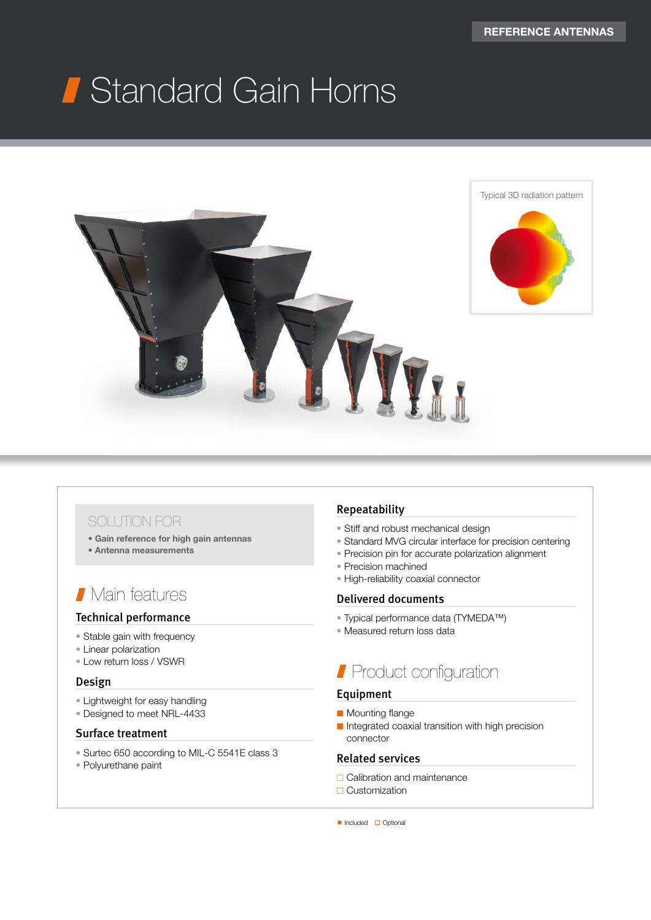# Standard Gain Horns



### SOLUTION FOR

- Gain reference for high gain antennas
- Antenna measurements

### **Nain features**

### Technical performance

- Stable gain with frequency
- Linear polarization
- Low return loss / VSWR

### Design

- Lightweight for easy handling
- Designed to meet NRL-4433

### Surface treatment

- Surtec 650 according to MIL-C 5541E class 3
- Polyurethane paint

### Repeatability

- Stiff and robust mechanical design
- Standard MVG circular interface for precision centering
- Precision pin for accurate polarization alignment
- Precision machined
- High-reliability coaxial connector

### Delivered documents

- Typical performance data (TYMEDA™)
- Measured return loss data

## **Product configuration**

### Equipment

- Mounting flange
- Integrated coaxial transition with high precision connector

### Related services

- **□** Calibration and maintenance
- **□ Customization**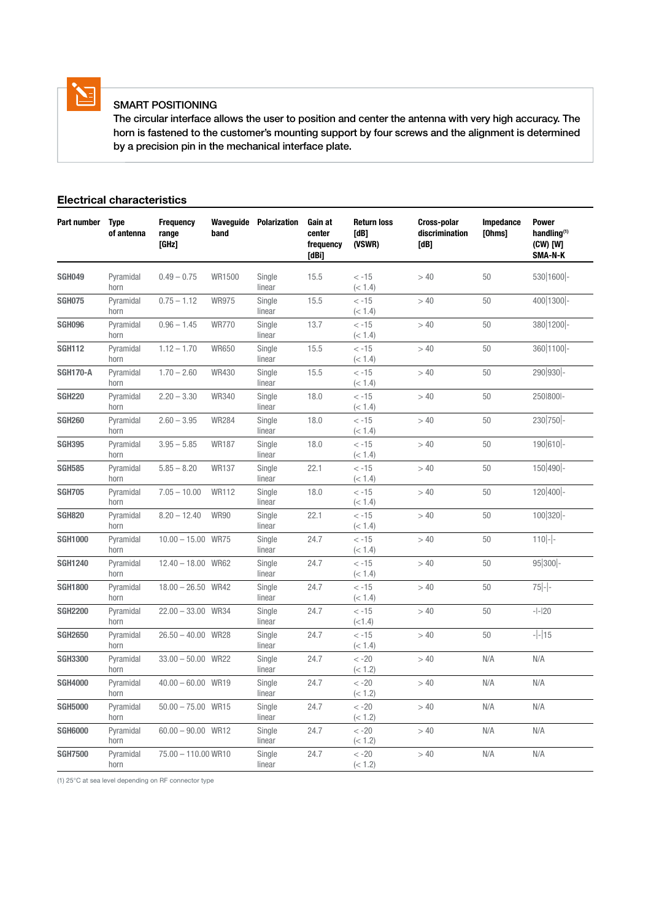

### SMART POSITIONING

 The circular interface allows the user to position and center the antenna with very high accuracy. The horn is fastened to the customer's mounting support by four screws and the alignment is determined by a precision pin in the mechanical interface plate.

### Electrical characteristics

| Part number     | <b>Type</b><br>of antenna | <b>Frequency</b><br>range<br>[GHz] | band         | <b>Waveguide Polarization</b> | Gain at<br>center<br>frequency<br>[dBi] | <b>Return loss</b><br><b>TdB1</b><br>(VSWR) | Cross-polar<br>discrimination<br>[dB] | Impedance<br>[Ohms] | <b>Power</b><br>handlina <sup>(1)</sup><br>(CW) [W]<br>SMA-N-K |
|-----------------|---------------------------|------------------------------------|--------------|-------------------------------|-----------------------------------------|---------------------------------------------|---------------------------------------|---------------------|----------------------------------------------------------------|
| <b>SGH049</b>   | Pyramidal<br>horn         | $0.49 - 0.75$                      | WR1500       | Single<br>linear              | 15.5                                    | $< -15$<br>(< 1.4)                          | > 40                                  | 50                  | 530 1600 -                                                     |
| <b>SGH075</b>   | Pyramidal<br>horn         | $0.75 - 1.12$                      | <b>WR975</b> | Single<br>linear              | 15.5                                    | $< -15$<br>(< 1.4)                          | >40                                   | 50                  | 400 1300 -                                                     |
| <b>SGH096</b>   | Pyramidal<br>horn         | $0.96 - 1.45$                      | <b>WR770</b> | Single<br>linear              | 13.7                                    | $< -15$<br>(< 1.4)                          | >40                                   | 50                  | 380 1200 -                                                     |
| <b>SGH112</b>   | Pyramidal<br>horn         | $1.12 - 1.70$                      | <b>WR650</b> | Single<br>linear              | 15.5                                    | $< -15$<br>(< 1.4)                          | >40                                   | 50                  | 360 1100 -                                                     |
| <b>SGH170-A</b> | Pyramidal<br>horn         | $1.70 - 2.60$                      | <b>WR430</b> | Single<br>linear              | 15.5                                    | $< -15$<br>(< 1.4)                          | >40                                   | 50                  | 290 930 -                                                      |
| <b>SGH220</b>   | Pyramidal<br>horn         | $2.20 - 3.30$                      | <b>WR340</b> | Single<br>linear              | 18.0                                    | $< -15$<br>(< 1.4)                          | >40                                   | 50                  | 250 800 -                                                      |
| <b>SGH260</b>   | Pyramidal<br>horn         | $2.60 - 3.95$                      | <b>WR284</b> | Single<br>linear              | 18.0                                    | $< -15$<br>(< 1.4)                          | >40                                   | 50                  | 230 750 -                                                      |
| <b>SGH395</b>   | Pyramidal<br>horn         | $3.95 - 5.85$                      | <b>WR187</b> | Single<br>linear              | 18.0                                    | $< -15$<br>(< 1.4)                          | > 40                                  | 50                  | 190 610 -                                                      |
| <b>SGH585</b>   | Pyramidal<br>horn         | $5.85 - 8.20$                      | <b>WR137</b> | Single<br>linear              | 22.1                                    | $< -15$<br>(< 1.4)                          | >40                                   | 50                  | 150 490 -                                                      |
| <b>SGH705</b>   | Pyramidal<br>horn         | $7.05 - 10.00$                     | <b>WR112</b> | Single<br>linear              | 18.0                                    | $< -15$<br>(< 1.4)                          | >40                                   | 50                  | $120 400$ -                                                    |
| <b>SGH820</b>   | Pyramidal<br>horn         | $8.20 - 12.40$                     | <b>WR90</b>  | Single<br>linear              | 22.1                                    | $< -15$<br>(< 1.4)                          | >40                                   | 50                  | 100 320 -                                                      |
| <b>SGH1000</b>  | Pyramidal<br>horn         | $10.00 - 15.00$ WR75               |              | Single<br>linear              | 24.7                                    | $< -15$<br>(< 1.4)                          | >40                                   | 50                  | $110$ -                                                        |
| <b>SGH1240</b>  | Pyramidal<br>horn         | $12.40 - 18.00$ WR62               |              | Single<br>linear              | 24.7                                    | $< -15$<br>(< 1.4)                          | > 40                                  | 50                  | $95 300 $ -                                                    |
| <b>SGH1800</b>  | Pyramidal<br>horn         | 18.00 - 26.50 WR42                 |              | Single<br>linear              | 24.7                                    | $< -15$<br>(< 1.4)                          | >40                                   | 50                  | $75 -$                                                         |
| <b>SGH2200</b>  | Pyramidal<br>horn         | $22.00 - 33.00$ WR34               |              | Single<br>linear              | 24.7                                    | $< -15$<br>(<1.4)                           | >40                                   | 50                  | $-1-120$                                                       |
| <b>SGH2650</b>  | Pyramidal<br>horn         | $26.50 - 40.00$ WR28               |              | Single<br>linear              | 24.7                                    | $< -15$<br>(< 1.4)                          | >40                                   | 50                  | $- - 15$                                                       |
| <b>SGH3300</b>  | Pyramidal<br>horn         | $33.00 - 50.00$ WR22               |              | Single<br>linear              | 24.7                                    | $< -20$<br>(< 1.2)                          | >40                                   | N/A                 | N/A                                                            |
| <b>SGH4000</b>  | Pyramidal<br>horn         | $40.00 - 60.00$ WR19               |              | Single<br>linear              | 24.7                                    | $< -20$<br>(< 1.2)                          | >40                                   | N/A                 | N/A                                                            |
| <b>SGH5000</b>  | Pyramidal<br>horn         | $50.00 - 75.00$ WR15               |              | Single<br>linear              | 24.7                                    | $< -20$<br>(< 1.2)                          | >40                                   | N/A                 | N/A                                                            |
| <b>SGH6000</b>  | Pyramidal<br>horn         | $60.00 - 90.00$ WR12               |              | Single<br>linear              | 24.7                                    | $< -20$<br>(< 1.2)                          | >40                                   | N/A                 | N/A                                                            |
| <b>SGH7500</b>  | Pyramidal<br>horn         | 75.00 - 110.00 WR10                |              | Single<br>linear              | 24.7                                    | $< -20$<br>(< 1.2)                          | >40                                   | N/A                 | N/A                                                            |

(1) 25°C at sea level depending on RF connector type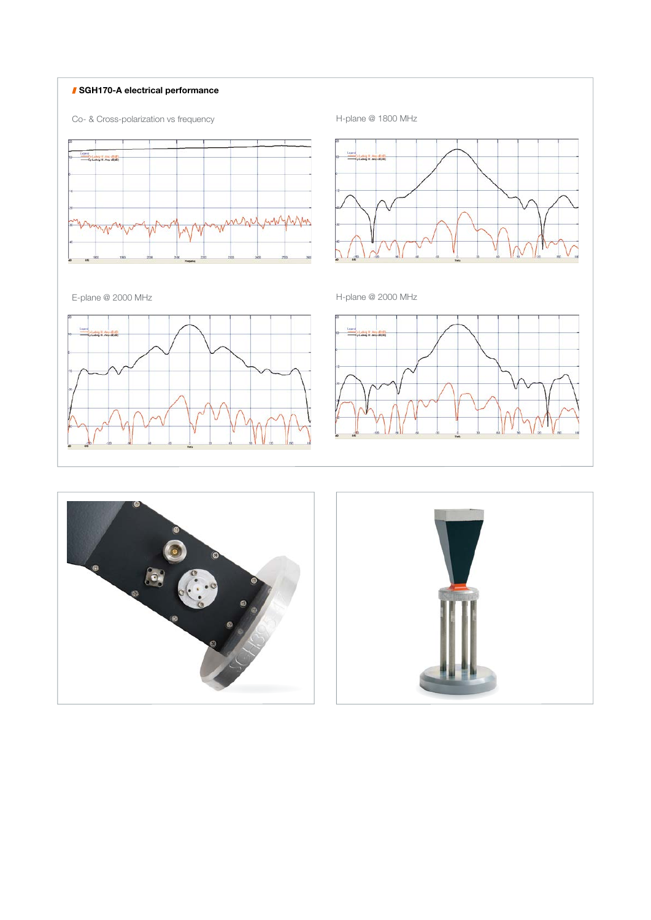### **SGH170-A electrical performance**





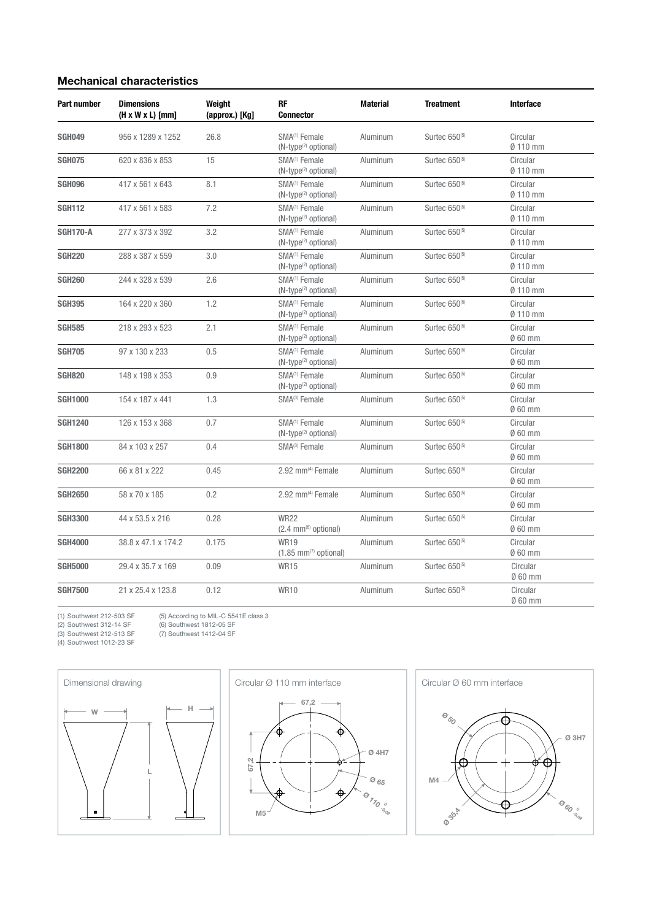### Mechanical characteristics

| <b>Part number</b> | <b>Dimensions</b><br>$(H \times W \times L)$ [mm] | Weiaht<br>(approx.) [Kg] | <b>RF</b><br><b>Connector</b>                                    | Material | <b>Treatment</b>          | <b>Interface</b>              |
|--------------------|---------------------------------------------------|--------------------------|------------------------------------------------------------------|----------|---------------------------|-------------------------------|
| <b>SGH049</b>      | 956 x 1289 x 1252                                 | 26.8                     | SMA <sup>(1)</sup> Female<br>(N-type <sup>(2)</sup> optional)    | Aluminum | Surtec 650 <sup>(5)</sup> | Circular<br>Ø 110 mm          |
| <b>SGH075</b>      | 620 x 836 x 853                                   | 15                       | SMA <sup>(1)</sup> Female<br>(N-type <sup>(2)</sup> optional)    | Aluminum | Surtec 650 <sup>(5)</sup> | Circular<br>$Ø$ 110 mm        |
| <b>SGH096</b>      | 417 x 561 x 643                                   | 8.1                      | SMA <sup>(1)</sup> Female<br>(N-type <sup>(2)</sup> optional)    | Aluminum | Surtec 650 <sup>(5)</sup> | Circular<br>Ø 110 mm          |
| <b>SGH112</b>      | 417 x 561 x 583                                   | 7.2                      | SMA <sup>(1)</sup> Female<br>$(N$ -type <sup>(2)</sup> optional) | Aluminum | Surtec 650 <sup>(5)</sup> | Circular<br>Ø 110 mm          |
| <b>SGH170-A</b>    | 277 x 373 x 392                                   | 3.2                      | SMA <sup>(1)</sup> Female<br>(N-type <sup>(2)</sup> optional)    | Aluminum | Surtec 650 <sup>(5)</sup> | Circular<br>Ø 110 mm          |
| <b>SGH220</b>      | 288 x 387 x 559                                   | 3.0                      | SMA <sup>(1)</sup> Female<br>(N-type <sup>(2)</sup> optional)    | Aluminum | Surtec 650 <sup>(5)</sup> | Circular<br>Ø 110 mm          |
| <b>SGH260</b>      | 244 x 328 x 539                                   | 2.6                      | SMA <sup>(1)</sup> Female<br>(N-type <sup>(2)</sup> optional)    | Aluminum | Surtec 650 <sup>(5)</sup> | Circular<br>Ø 110 mm          |
| <b>SGH395</b>      | 164 x 220 x 360                                   | 1.2                      | SMA <sup>(1)</sup> Female<br>(N-type <sup>(2)</sup> optional)    | Aluminum | Surtec 650 <sup>(5)</sup> | Circular<br>Ø 110 mm          |
| <b>SGH585</b>      | 218 x 293 x 523                                   | 2.1                      | SMA <sup>(1)</sup> Female<br>(N-type <sup>(2)</sup> optional)    | Aluminum | Surtec 650 <sup>(5)</sup> | Circular<br>$\emptyset$ 60 mm |
| <b>SGH705</b>      | 97 x 130 x 233                                    | 0.5                      | SMA <sup>(1)</sup> Female<br>(N-type <sup>(2)</sup> optional)    | Aluminum | Surtec 650 <sup>(5)</sup> | Circular<br>$\emptyset$ 60 mm |
| <b>SGH820</b>      | 148 x 198 x 353                                   | 0.9                      | SMA <sup>(1)</sup> Female<br>(N-type <sup>(2)</sup> optional)    | Aluminum | Surtec 650 <sup>(5)</sup> | Circular<br>$\emptyset$ 60 mm |
| <b>SGH1000</b>     | 154 x 187 x 441                                   | 1.3                      | SMA <sup>(3)</sup> Female                                        | Aluminum | Surtec $650^{(5)}$        | Circular<br>$\emptyset$ 60 mm |
| <b>SGH1240</b>     | 126 x 153 x 368                                   | 0.7                      | SMA <sup>(1)</sup> Female<br>(N-type <sup>(2)</sup> optional)    | Aluminum | Surtec $650^{(5)}$        | Circular<br>$\emptyset$ 60 mm |
| <b>SGH1800</b>     | 84 x 103 x 257                                    | 0.4                      | SMA <sup>(3)</sup> Female                                        | Aluminum | Surtec 650 <sup>(5)</sup> | Circular<br>$\emptyset$ 60 mm |
| <b>SGH2200</b>     | 66 x 81 x 222                                     | 0.45                     | 2.92 mm <sup>(4)</sup> Female                                    | Aluminum | Surtec 650 <sup>(5)</sup> | Circular<br>$060$ mm          |
| <b>SGH2650</b>     | 58 x 70 x 185                                     | 0.2                      | 2.92 mm(4) Female                                                | Aluminum | Surtec 650 <sup>(5)</sup> | Circular<br>$\emptyset$ 60 mm |
| <b>SGH3300</b>     | 44 x 53.5 x 216                                   | 0.28                     | <b>WR22</b><br>$(2.4 \, \text{mm}^{(6)} \, \text{optional})$     | Aluminum | Surtec 650 <sup>(5)</sup> | Circular<br>Ø 60 mm           |
| <b>SGH4000</b>     | 38.8 x 47.1 x 174.2                               | 0.175                    | <b>WR19</b><br>$(1.85$ mm <sup>(7)</sup> optional)               | Aluminum | Surtec 650 <sup>(5)</sup> | Circular<br>0 60 mm           |
| <b>SGH5000</b>     | 29.4 x 35.7 x 169                                 | 0.09                     | <b>WR15</b>                                                      | Aluminum | Surtec 650 <sup>(5)</sup> | Circular<br>Ø 60 mm           |
| <b>SGH7500</b>     | 21 x 25.4 x 123.8                                 | 0.12                     | <b>WR10</b>                                                      | Aluminum | Surtec 650 <sup>(5)</sup> | Circular<br>Ø 60 mm           |

(2) Southwest 312-14 SF (6) Southwest 1812-05 SF (3) Southwest 212-513 SF (7) Southwest 1412-04 SF (4) Southwest 1012-23 SF

(5) According to MIL-C 5541E class 3<br>(6) Southwest 1812-05 SF<br>(7) Southwest 1412-04 SF